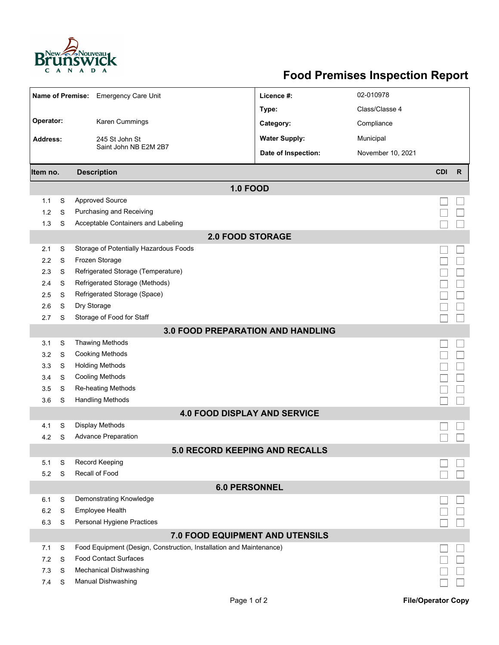

## **Food Premises Inspection Report**

|                                          |   | Name of Premise: Emergency Care Unit                                | Licence #:           | 02-010978         |            |              |  |  |  |
|------------------------------------------|---|---------------------------------------------------------------------|----------------------|-------------------|------------|--------------|--|--|--|
|                                          |   |                                                                     | Type:                | Class/Classe 4    |            |              |  |  |  |
| Operator:                                |   | Karen Cummings                                                      | Category:            | Compliance        |            |              |  |  |  |
| <b>Address:</b>                          |   | 245 St John St                                                      | <b>Water Supply:</b> | Municipal         |            |              |  |  |  |
|                                          |   | Saint John NB E2M 2B7                                               | Date of Inspection:  | November 10, 2021 |            |              |  |  |  |
|                                          |   |                                                                     |                      |                   |            |              |  |  |  |
| Item no.                                 |   | <b>Description</b>                                                  |                      |                   | <b>CDI</b> | $\mathsf{R}$ |  |  |  |
|                                          |   | <b>1.0 FOOD</b>                                                     |                      |                   |            |              |  |  |  |
| 1.1                                      | S | <b>Approved Source</b>                                              |                      |                   |            |              |  |  |  |
| 1.2                                      | S | Purchasing and Receiving                                            |                      |                   |            |              |  |  |  |
| 1.3                                      | S | Acceptable Containers and Labeling                                  |                      |                   |            |              |  |  |  |
| <b>2.0 FOOD STORAGE</b>                  |   |                                                                     |                      |                   |            |              |  |  |  |
| 2.1                                      | S | Storage of Potentially Hazardous Foods                              |                      |                   |            |              |  |  |  |
| 2.2                                      | S | Frozen Storage                                                      |                      |                   |            |              |  |  |  |
| 2.3                                      | S | Refrigerated Storage (Temperature)                                  |                      |                   |            |              |  |  |  |
| 2.4                                      | S | Refrigerated Storage (Methods)                                      |                      |                   |            |              |  |  |  |
| 2.5                                      | S | Refrigerated Storage (Space)                                        |                      |                   |            |              |  |  |  |
| 2.6                                      | S | Dry Storage                                                         |                      |                   |            |              |  |  |  |
| 2.7                                      | S | Storage of Food for Staff                                           |                      |                   |            |              |  |  |  |
| <b>3.0 FOOD PREPARATION AND HANDLING</b> |   |                                                                     |                      |                   |            |              |  |  |  |
| 3.1                                      | S | <b>Thawing Methods</b>                                              |                      |                   |            |              |  |  |  |
| 3.2                                      | S | <b>Cooking Methods</b>                                              |                      |                   |            |              |  |  |  |
| 3.3                                      | S | <b>Holding Methods</b>                                              |                      |                   |            |              |  |  |  |
| 3.4                                      | S | <b>Cooling Methods</b>                                              |                      |                   |            |              |  |  |  |
| 3.5                                      | S | Re-heating Methods                                                  |                      |                   |            |              |  |  |  |
| 3.6                                      | S | <b>Handling Methods</b>                                             |                      |                   |            |              |  |  |  |
| <b>4.0 FOOD DISPLAY AND SERVICE</b>      |   |                                                                     |                      |                   |            |              |  |  |  |
| 4.1                                      | S | <b>Display Methods</b>                                              |                      |                   |            |              |  |  |  |
| 4.2                                      | S | <b>Advance Preparation</b>                                          |                      |                   |            |              |  |  |  |
| 5.0 RECORD KEEPING AND RECALLS           |   |                                                                     |                      |                   |            |              |  |  |  |
| 5.1                                      | S | Record Keeping                                                      |                      |                   |            |              |  |  |  |
| 5.2                                      | S | Recall of Food                                                      |                      |                   |            |              |  |  |  |
| <b>6.0 PERSONNEL</b>                     |   |                                                                     |                      |                   |            |              |  |  |  |
| 6.1                                      | S | Demonstrating Knowledge                                             |                      |                   |            |              |  |  |  |
| 6.2                                      | S | Employee Health                                                     |                      |                   |            |              |  |  |  |
| 6.3                                      | S | Personal Hygiene Practices                                          |                      |                   |            |              |  |  |  |
| 7.0 FOOD EQUIPMENT AND UTENSILS          |   |                                                                     |                      |                   |            |              |  |  |  |
| 7.1                                      | S | Food Equipment (Design, Construction, Installation and Maintenance) |                      |                   |            |              |  |  |  |
| 7.2                                      | S | <b>Food Contact Surfaces</b>                                        |                      |                   |            |              |  |  |  |
| 7.3                                      | S | <b>Mechanical Dishwashing</b>                                       |                      |                   |            |              |  |  |  |
| 7.4                                      | S | <b>Manual Dishwashing</b>                                           |                      |                   |            |              |  |  |  |